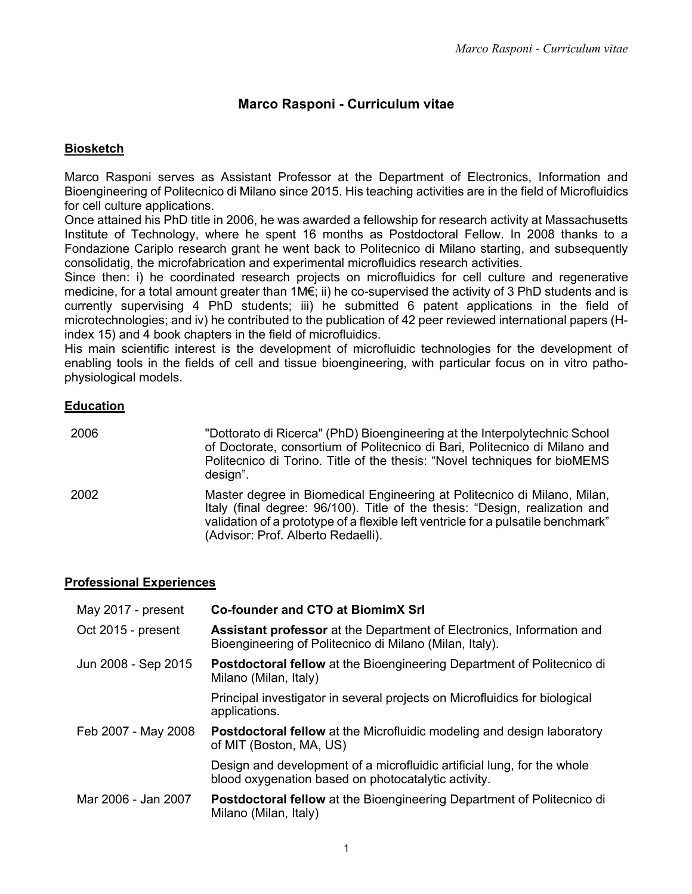# **Marco Rasponi - Curriculum vitae**

### **Biosketch**

Marco Rasponi serves as Assistant Professor at the Department of Electronics, Information and Bioengineering of Politecnico di Milano since 2015. His teaching activities are in the field of Microfluidics for cell culture applications.

Once attained his PhD title in 2006, he was awarded a fellowship for research activity at Massachusetts Institute of Technology, where he spent 16 months as Postdoctoral Fellow. In 2008 thanks to a Fondazione Cariplo research grant he went back to Politecnico di Milano starting, and subsequently consolidatig, the microfabrication and experimental microfluidics research activities.

Since then: i) he coordinated research projects on microfluidics for cell culture and regenerative medicine, for a total amount greater than 1M€; ii) he co-supervised the activity of 3 PhD students and is currently supervising 4 PhD students; iii) he submitted 6 patent applications in the field of microtechnologies; and iv) he contributed to the publication of 42 peer reviewed international papers (Hindex 15) and 4 book chapters in the field of microfluidics.

His main scientific interest is the development of microfluidic technologies for the development of enabling tools in the fields of cell and tissue bioengineering, with particular focus on in vitro pathophysiological models.

#### **Education**

| 2006 | "Dottorato di Ricerca" (PhD) Bioengineering at the Interpolytechnic School<br>of Doctorate, consortium of Politecnico di Bari, Politecnico di Milano and<br>Politecnico di Torino. Title of the thesis: "Novel techniques for bioMEMS<br>design".                                  |
|------|------------------------------------------------------------------------------------------------------------------------------------------------------------------------------------------------------------------------------------------------------------------------------------|
| 2002 | Master degree in Biomedical Engineering at Politecnico di Milano, Milan,<br>Italy (final degree: 96/100). Title of the thesis: "Design, realization and<br>validation of a prototype of a flexible left ventricle for a pulsatile benchmark"<br>(Advisor: Prof. Alberto Redaelli). |

#### **Professional Experiences**

| May 2017 - present  | <b>Co-founder and CTO at BiomimX Srl</b>                                                                                         |
|---------------------|----------------------------------------------------------------------------------------------------------------------------------|
| Oct 2015 - present  | Assistant professor at the Department of Electronics, Information and<br>Bioengineering of Politecnico di Milano (Milan, Italy). |
| Jun 2008 - Sep 2015 | <b>Postdoctoral fellow</b> at the Bioengineering Department of Politecnico di<br>Milano (Milan, Italy)                           |
|                     | Principal investigator in several projects on Microfluidics for biological<br>applications.                                      |
| Feb 2007 - May 2008 | <b>Postdoctoral fellow</b> at the Microfluidic modeling and design laboratory<br>of MIT (Boston, MA, US)                         |
|                     | Design and development of a microfluidic artificial lung, for the whole<br>blood oxygenation based on photocatalytic activity.   |
| Mar 2006 - Jan 2007 | Postdoctoral fellow at the Bioengineering Department of Politecnico di<br>Milano (Milan, Italy)                                  |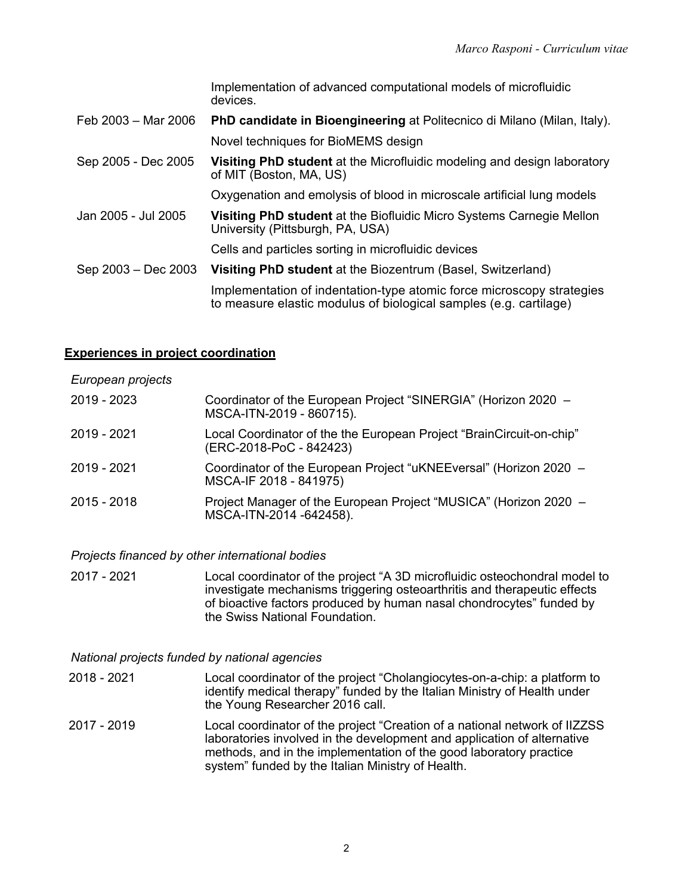|                     | Implementation of advanced computational models of microfluidic<br>devices.                                                                |
|---------------------|--------------------------------------------------------------------------------------------------------------------------------------------|
| Feb 2003 - Mar 2006 | PhD candidate in Bioengineering at Politecnico di Milano (Milan, Italy).                                                                   |
|                     | Novel techniques for BioMEMS design                                                                                                        |
| Sep 2005 - Dec 2005 | <b>Visiting PhD student</b> at the Microfluidic modeling and design laboratory<br>of MIT (Boston, MA, US)                                  |
|                     | Oxygenation and emolysis of blood in microscale artificial lung models                                                                     |
| Jan 2005 - Jul 2005 | <b>Visiting PhD student</b> at the Biofluidic Micro Systems Carnegie Mellon<br>University (Pittsburgh, PA, USA)                            |
|                     | Cells and particles sorting in microfluidic devices                                                                                        |
| Sep 2003 - Dec 2003 | Visiting PhD student at the Biozentrum (Basel, Switzerland)                                                                                |
|                     | Implementation of indentation-type atomic force microscopy strategies<br>to measure elastic modulus of biological samples (e.g. cartilage) |

#### **Experiences in project coordination**

*European projects*

| 2019 - 2023 | Coordinator of the European Project "SINERGIA" (Horizon 2020 -<br>MSCA-ITN-2019 - 860715).      |
|-------------|-------------------------------------------------------------------------------------------------|
| 2019 - 2021 | Local Coordinator of the the European Project "BrainCircuit-on-chip"<br>(ERC-2018-PoC - 842423) |
| 2019 - 2021 | Coordinator of the European Project "uKNEEversal" (Horizon 2020 -<br>MSCA-IF 2018 - 841975)     |
| 2015 - 2018 | Project Manager of the European Project "MUSICA" (Horizon 2020 –<br>MSCA-ITN-2014 -642458).     |

*Projects financed by other international bodies*

2017 - 2021 Local coordinator of the project "A 3D microfluidic osteochondral model to investigate mechanisms triggering osteoarthritis and therapeutic effects of bioactive factors produced by human nasal chondrocytes" funded by the Swiss National Foundation.

*National projects funded by national agencies*

- 2018 2021 Local coordinator of the project "Cholangiocytes-on-a-chip: a platform to identify medical therapy" funded by the Italian Ministry of Health under the Young Researcher 2016 call.
- 2017 2019 Local coordinator of the project "Creation of a national network of IIZZSS laboratories involved in the development and application of alternative methods, and in the implementation of the good laboratory practice system" funded by the Italian Ministry of Health.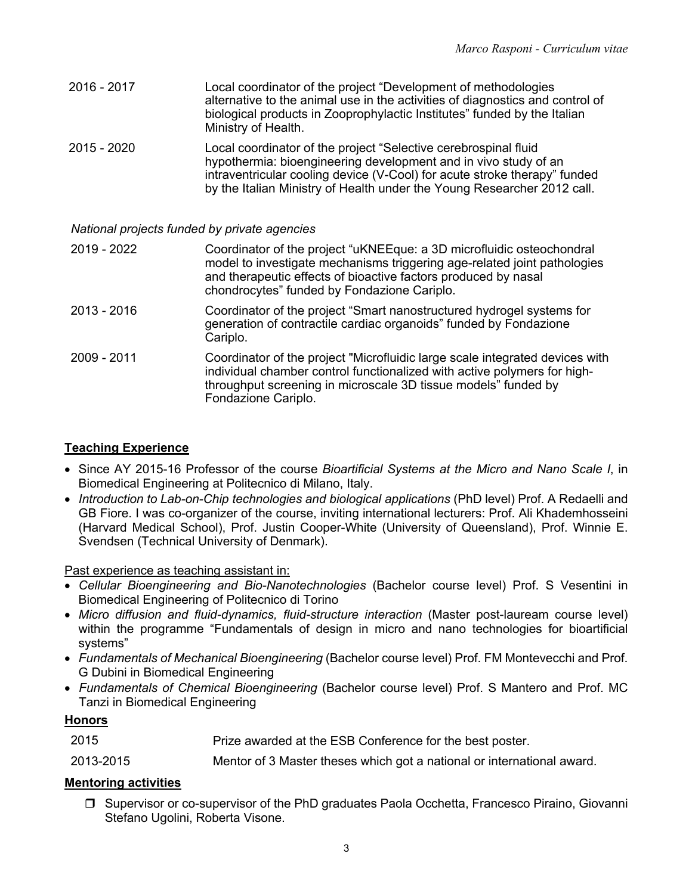| 2016 - 2017 | Local coordinator of the project "Development of methodologies<br>alternative to the animal use in the activities of diagnostics and control of<br>biological products in Zooprophylactic Institutes" funded by the Italian<br>Ministry of Health. |
|-------------|----------------------------------------------------------------------------------------------------------------------------------------------------------------------------------------------------------------------------------------------------|
|             |                                                                                                                                                                                                                                                    |

2015 - 2020 Local coordinator of the project "Selective cerebrospinal fluid hypothermia: bioengineering development and in vivo study of an intraventricular cooling device (V-Cool) for acute stroke therapy" funded by the Italian Ministry of Health under the Young Researcher 2012 call.

*National projects funded by private agencies*

| 2019 - 2022 | Coordinator of the project "uKNEEque: a 3D microfluidic osteochondral<br>model to investigate mechanisms triggering age-related joint pathologies<br>and therapeutic effects of bioactive factors produced by nasal<br>chondrocytes" funded by Fondazione Cariplo. |
|-------------|--------------------------------------------------------------------------------------------------------------------------------------------------------------------------------------------------------------------------------------------------------------------|
|             |                                                                                                                                                                                                                                                                    |

- 2013 2016 Coordinator of the project "Smart nanostructured hydrogel systems for generation of contractile cardiac organoids" funded by Fondazione Cariplo.
- 2009 2011 Coordinator of the project "Microfluidic large scale integrated devices with individual chamber control functionalized with active polymers for highthroughput screening in microscale 3D tissue models" funded by Fondazione Cariplo.

### **Teaching Experience**

- Since AY 2015-16 Professor of the course *Bioartificial Systems at the Micro and Nano Scale I*, in Biomedical Engineering at Politecnico di Milano, Italy.
- *Introduction to Lab-on-Chip technologies and biological applications* (PhD level) Prof. A Redaelli and GB Fiore. I was co-organizer of the course, inviting international lecturers: Prof. Ali Khademhosseini (Harvard Medical School), Prof. Justin Cooper-White (University of Queensland), Prof. Winnie E. Svendsen (Technical University of Denmark).

Past experience as teaching assistant in:

- *Cellular Bioengineering and Bio-Nanotechnologies* (Bachelor course level) Prof. S Vesentini in Biomedical Engineering of Politecnico di Torino
- *Micro diffusion and fluid-dynamics, fluid-structure interaction* (Master post-lauream course level) within the programme "Fundamentals of design in micro and nano technologies for bioartificial systems"
- *Fundamentals of Mechanical Bioengineering* (Bachelor course level) Prof. FM Montevecchi and Prof. G Dubini in Biomedical Engineering
- *Fundamentals of Chemical Bioengineering* (Bachelor course level) Prof. S Mantero and Prof. MC Tanzi in Biomedical Engineering

### **Honors**

2013-2015 Mentor of 3 Master theses which got a national or international award.

#### **Mentoring activities**

 $\Box$  Supervisor or co-supervisor of the PhD graduates Paola Occhetta, Francesco Piraino, Giovanni Stefano Ugolini, Roberta Visone.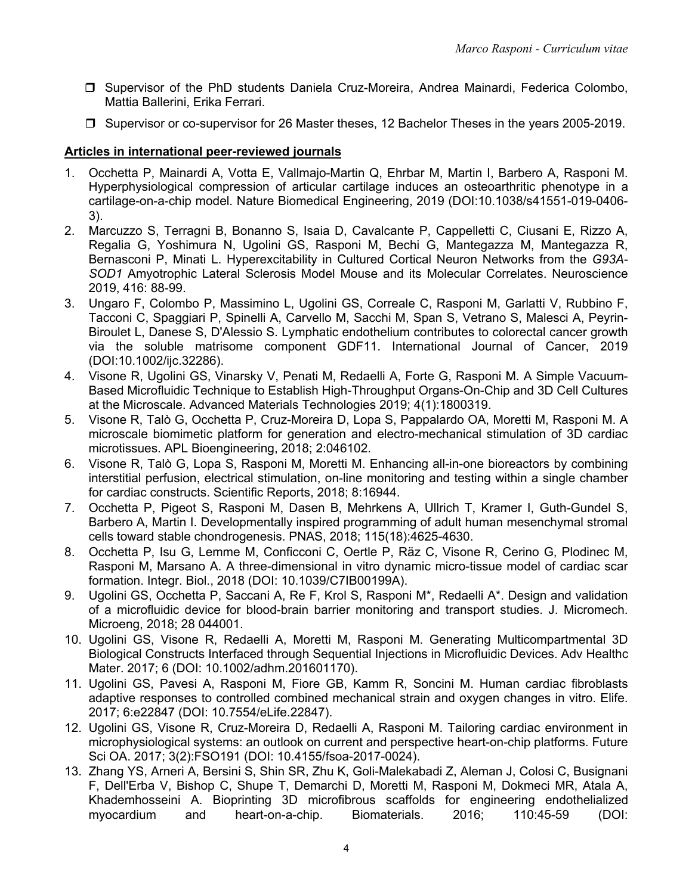- r Supervisor of the PhD students Daniela Cruz-Moreira, Andrea Mainardi, Federica Colombo, Mattia Ballerini, Erika Ferrari.
- □ Supervisor or co-supervisor for 26 Master theses, 12 Bachelor Theses in the years 2005-2019.

### **Articles in international peer-reviewed journals**

- 1. Occhetta P, Mainardi A, Votta E, Vallmajo-Martin Q, Ehrbar M, Martin I, Barbero A, Rasponi M. Hyperphysiological compression of articular cartilage induces an osteoarthritic phenotype in a cartilage-on-a-chip model. Nature Biomedical Engineering, 2019 (DOI:10.1038/s41551-019-0406- 3).
- 2. Marcuzzo S, Terragni B, Bonanno S, Isaia D, Cavalcante P, Cappelletti C, Ciusani E, Rizzo A, Regalia G, Yoshimura N, Ugolini GS, Rasponi M, Bechi G, Mantegazza M, Mantegazza R, Bernasconi P, Minati L. Hyperexcitability in Cultured Cortical Neuron Networks from the *G93A-SOD1* Amyotrophic Lateral Sclerosis Model Mouse and its Molecular Correlates. Neuroscience 2019, 416: 88-99.
- 3. Ungaro F, Colombo P, Massimino L, Ugolini GS, Correale C, Rasponi M, Garlatti V, Rubbino F, Tacconi C, Spaggiari P, Spinelli A, Carvello M, Sacchi M, Span S, Vetrano S, Malesci A, Peyrin-Biroulet L, Danese S, D'Alessio S. Lymphatic endothelium contributes to colorectal cancer growth via the soluble matrisome component GDF11. International Journal of Cancer, 2019 (DOI:10.1002/ijc.32286).
- 4. Visone R, Ugolini GS, Vinarsky V, Penati M, Redaelli A, Forte G, Rasponi M. A Simple Vacuum-Based Microfluidic Technique to Establish High-Throughput Organs-On-Chip and 3D Cell Cultures at the Microscale. Advanced Materials Technologies 2019; 4(1):1800319.
- 5. Visone R, Talò G, Occhetta P, Cruz-Moreira D, Lopa S, Pappalardo OA, Moretti M, Rasponi M. A microscale biomimetic platform for generation and electro-mechanical stimulation of 3D cardiac microtissues. APL Bioengineering, 2018; 2:046102.
- 6. Visone R, Talò G, Lopa S, Rasponi M, Moretti M. Enhancing all-in-one bioreactors by combining interstitial perfusion, electrical stimulation, on-line monitoring and testing within a single chamber for cardiac constructs. Scientific Reports, 2018; 8:16944.
- 7. Occhetta P, Pigeot S, Rasponi M, Dasen B, Mehrkens A, Ullrich T, Kramer I, Guth-Gundel S, Barbero A, Martin I. Developmentally inspired programming of adult human mesenchymal stromal cells toward stable chondrogenesis. PNAS, 2018; 115(18):4625-4630.
- 8. Occhetta P, Isu G, Lemme M, Conficconi C, Oertle P, Räz C, Visone R, Cerino G, Plodinec M, Rasponi M, Marsano A. A three-dimensional in vitro dynamic micro-tissue model of cardiac scar formation. Integr. Biol., 2018 (DOI: 10.1039/C7IB00199A).
- 9. Ugolini GS, Occhetta P, Saccani A, Re F, Krol S, Rasponi M\*, Redaelli A\*. Design and validation of a microfluidic device for blood-brain barrier monitoring and transport studies. J. Micromech. Microeng, 2018; 28 044001.
- 10. Ugolini GS, Visone R, Redaelli A, Moretti M, Rasponi M. Generating Multicompartmental 3D Biological Constructs Interfaced through Sequential Injections in Microfluidic Devices. Adv Healthc Mater. 2017; 6 (DOI: 10.1002/adhm.201601170).
- 11. Ugolini GS, Pavesi A, Rasponi M, Fiore GB, Kamm R, Soncini M. Human cardiac fibroblasts adaptive responses to controlled combined mechanical strain and oxygen changes in vitro. Elife. 2017; 6:e22847 (DOI: 10.7554/eLife.22847).
- 12. Ugolini GS, Visone R, Cruz-Moreira D, Redaelli A, Rasponi M. Tailoring cardiac environment in microphysiological systems: an outlook on current and perspective heart-on-chip platforms. Future Sci OA. 2017; 3(2):FSO191 (DOI: 10.4155/fsoa-2017-0024).
- 13. Zhang YS, Arneri A, Bersini S, Shin SR, Zhu K, Goli-Malekabadi Z, Aleman J, Colosi C, Busignani F, Dell'Erba V, Bishop C, Shupe T, Demarchi D, Moretti M, Rasponi M, Dokmeci MR, Atala A, Khademhosseini A. Bioprinting 3D microfibrous scaffolds for engineering endothelialized myocardium and heart-on-a-chip. Biomaterials. 2016; 110:45-59 (DOI: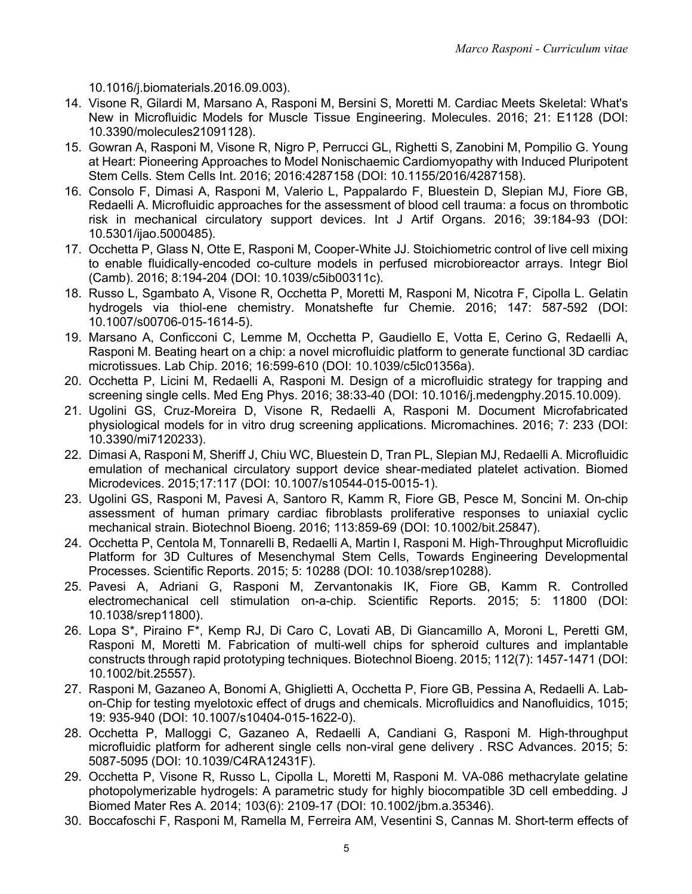10.1016/j.biomaterials.2016.09.003).

- 14. Visone R, Gilardi M, Marsano A, Rasponi M, Bersini S, Moretti M. Cardiac Meets Skeletal: What's New in Microfluidic Models for Muscle Tissue Engineering. Molecules. 2016; 21: E1128 (DOI: 10.3390/molecules21091128).
- 15. Gowran A, Rasponi M, Visone R, Nigro P, Perrucci GL, Righetti S, Zanobini M, Pompilio G. Young at Heart: Pioneering Approaches to Model Nonischaemic Cardiomyopathy with Induced Pluripotent Stem Cells. Stem Cells Int. 2016; 2016:4287158 (DOI: 10.1155/2016/4287158).
- 16. Consolo F, Dimasi A, Rasponi M, Valerio L, Pappalardo F, Bluestein D, Slepian MJ, Fiore GB, Redaelli A. Microfluidic approaches for the assessment of blood cell trauma: a focus on thrombotic risk in mechanical circulatory support devices. Int J Artif Organs. 2016; 39:184-93 (DOI: 10.5301/ijao.5000485).
- 17. Occhetta P, Glass N, Otte E, Rasponi M, Cooper-White JJ. Stoichiometric control of live cell mixing to enable fluidically-encoded co-culture models in perfused microbioreactor arrays. Integr Biol (Camb). 2016; 8:194-204 (DOI: 10.1039/c5ib00311c).
- 18. Russo L, Sgambato A, Visone R, Occhetta P, Moretti M, Rasponi M, Nicotra F, Cipolla L. Gelatin hydrogels via thiol-ene chemistry. Monatshefte fur Chemie. 2016; 147: 587-592 (DOI: 10.1007/s00706-015-1614-5).
- 19. Marsano A, Conficconi C, Lemme M, Occhetta P, Gaudiello E, Votta E, Cerino G, Redaelli A, Rasponi M. Beating heart on a chip: a novel microfluidic platform to generate functional 3D cardiac microtissues. Lab Chip. 2016; 16:599-610 (DOI: 10.1039/c5lc01356a).
- 20. Occhetta P, Licini M, Redaelli A, Rasponi M. Design of a microfluidic strategy for trapping and screening single cells. Med Eng Phys. 2016; 38:33-40 (DOI: 10.1016/j.medengphy.2015.10.009).
- 21. Ugolini GS, Cruz-Moreira D, Visone R, Redaelli A, Rasponi M. Document Microfabricated physiological models for in vitro drug screening applications. Micromachines. 2016; 7: 233 (DOI: 10.3390/mi7120233).
- 22. Dimasi A, Rasponi M, Sheriff J, Chiu WC, Bluestein D, Tran PL, Slepian MJ, Redaelli A. Microfluidic emulation of mechanical circulatory support device shear-mediated platelet activation. Biomed Microdevices. 2015;17:117 (DOI: 10.1007/s10544-015-0015-1).
- 23. Ugolini GS, Rasponi M, Pavesi A, Santoro R, Kamm R, Fiore GB, Pesce M, Soncini M. On-chip assessment of human primary cardiac fibroblasts proliferative responses to uniaxial cyclic mechanical strain. Biotechnol Bioeng. 2016; 113:859-69 (DOI: 10.1002/bit.25847).
- 24. Occhetta P, Centola M, Tonnarelli B, Redaelli A, Martin I, Rasponi M. High-Throughput Microfluidic Platform for 3D Cultures of Mesenchymal Stem Cells, Towards Engineering Developmental Processes. Scientific Reports. 2015; 5: 10288 (DOI: 10.1038/srep10288).
- 25. Pavesi A, Adriani G, Rasponi M, Zervantonakis IK, Fiore GB, Kamm R. Controlled electromechanical cell stimulation on-a-chip. Scientific Reports. 2015; 5: 11800 (DOI: 10.1038/srep11800).
- 26. Lopa S\*, Piraino F\*, Kemp RJ, Di Caro C, Lovati AB, Di Giancamillo A, Moroni L, Peretti GM, Rasponi M, Moretti M. Fabrication of multi-well chips for spheroid cultures and implantable constructs through rapid prototyping techniques. Biotechnol Bioeng. 2015; 112(7): 1457-1471 (DOI: 10.1002/bit.25557).
- 27. Rasponi M, Gazaneo A, Bonomi A, Ghiglietti A, Occhetta P, Fiore GB, Pessina A, Redaelli A. Labon-Chip for testing myelotoxic effect of drugs and chemicals. Microfluidics and Nanofluidics, 1015; 19: 935-940 (DOI: 10.1007/s10404-015-1622-0).
- 28. Occhetta P, Malloggi C, Gazaneo A, Redaelli A, Candiani G, Rasponi M. High-throughput microfluidic platform for adherent single cells non-viral gene delivery . RSC Advances. 2015; 5: 5087-5095 (DOI: 10.1039/C4RA12431F).
- 29. Occhetta P, Visone R, Russo L, Cipolla L, Moretti M, Rasponi M. VA-086 methacrylate gelatine photopolymerizable hydrogels: A parametric study for highly biocompatible 3D cell embedding. J Biomed Mater Res A. 2014; 103(6): 2109-17 (DOI: 10.1002/jbm.a.35346).
- 30. Boccafoschi F, Rasponi M, Ramella M, Ferreira AM, Vesentini S, Cannas M. Short-term effects of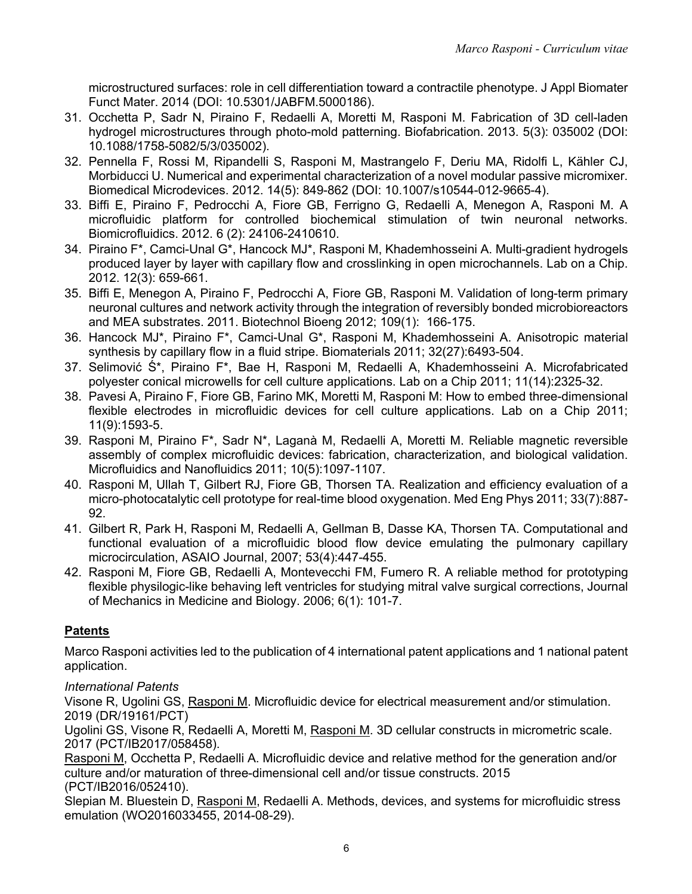microstructured surfaces: role in cell differentiation toward a contractile phenotype. J Appl Biomater Funct Mater. 2014 (DOI: 10.5301/JABFM.5000186).

- 31. Occhetta P, Sadr N, Piraino F, Redaelli A, Moretti M, Rasponi M. Fabrication of 3D cell-laden hydrogel microstructures through photo-mold patterning. Biofabrication. 2013. 5(3): 035002 (DOI: 10.1088/1758-5082/5/3/035002).
- 32. Pennella F, Rossi M, Ripandelli S, Rasponi M, Mastrangelo F, Deriu MA, Ridolfi L, Kähler CJ, Morbiducci U. Numerical and experimental characterization of a novel modular passive micromixer. Biomedical Microdevices. 2012. 14(5): 849-862 (DOI: 10.1007/s10544-012-9665-4).
- 33. Biffi E, Piraino F, Pedrocchi A, Fiore GB, Ferrigno G, Redaelli A, Menegon A, Rasponi M. A microfluidic platform for controlled biochemical stimulation of twin neuronal networks. Biomicrofluidics. 2012. 6 (2): 24106-2410610.
- 34. Piraino F\*, Camci-Unal G\*, Hancock MJ\*, Rasponi M, Khademhosseini A. Multi-gradient hydrogels produced layer by layer with capillary flow and crosslinking in open microchannels. Lab on a Chip. 2012. 12(3): 659-661.
- 35. Biffi E, Menegon A, Piraino F, Pedrocchi A, Fiore GB, Rasponi M. Validation of long-term primary neuronal cultures and network activity through the integration of reversibly bonded microbioreactors and MEA substrates. 2011. Biotechnol Bioeng 2012; 109(1): 166-175.
- 36. Hancock MJ\*, Piraino F\*, Camci-Unal G\*, Rasponi M, Khademhosseini A. Anisotropic material synthesis by capillary flow in a fluid stripe. Biomaterials 2011; 32(27):6493-504.
- 37. Selimović Ś\*, Piraino F\*, Bae H, Rasponi M, Redaelli A, Khademhosseini A. Microfabricated polyester conical microwells for cell culture applications. Lab on a Chip 2011; 11(14):2325-32.
- 38. Pavesi A, Piraino F, Fiore GB, Farino MK, Moretti M, Rasponi M: How to embed three-dimensional flexible electrodes in microfluidic devices for cell culture applications. Lab on a Chip 2011; 11(9):1593-5.
- 39. Rasponi M, Piraino F\*, Sadr N\*, Laganà M, Redaelli A, Moretti M. Reliable magnetic reversible assembly of complex microfluidic devices: fabrication, characterization, and biological validation. Microfluidics and Nanofluidics 2011; 10(5):1097-1107.
- 40. Rasponi M, Ullah T, Gilbert RJ, Fiore GB, Thorsen TA. Realization and efficiency evaluation of a micro-photocatalytic cell prototype for real-time blood oxygenation. Med Eng Phys 2011; 33(7):887- 92.
- 41. Gilbert R, Park H, Rasponi M, Redaelli A, Gellman B, Dasse KA, Thorsen TA. Computational and functional evaluation of a microfluidic blood flow device emulating the pulmonary capillary microcirculation, ASAIO Journal, 2007; 53(4):447-455.
- 42. Rasponi M, Fiore GB, Redaelli A, Montevecchi FM, Fumero R. A reliable method for prototyping flexible physilogic-like behaving left ventricles for studying mitral valve surgical corrections, Journal of Mechanics in Medicine and Biology. 2006; 6(1): 101-7.

# **Patents**

Marco Rasponi activities led to the publication of 4 international patent applications and 1 national patent application.

# *International Patents*

Visone R, Ugolini GS, Rasponi M. Microfluidic device for electrical measurement and/or stimulation. 2019 (DR/19161/PCT)

Ugolini GS, Visone R, Redaelli A, Moretti M, Rasponi M. 3D cellular constructs in micrometric scale. 2017 (PCT/IB2017/058458).

Rasponi M, Occhetta P, Redaelli A. Microfluidic device and relative method for the generation and/or culture and/or maturation of three-dimensional cell and/or tissue constructs. 2015 (PCT/IB2016/052410).

Slepian M. Bluestein D, Rasponi M, Redaelli A. Methods, devices, and systems for microfluidic stress emulation (WO2016033455, 2014-08-29).